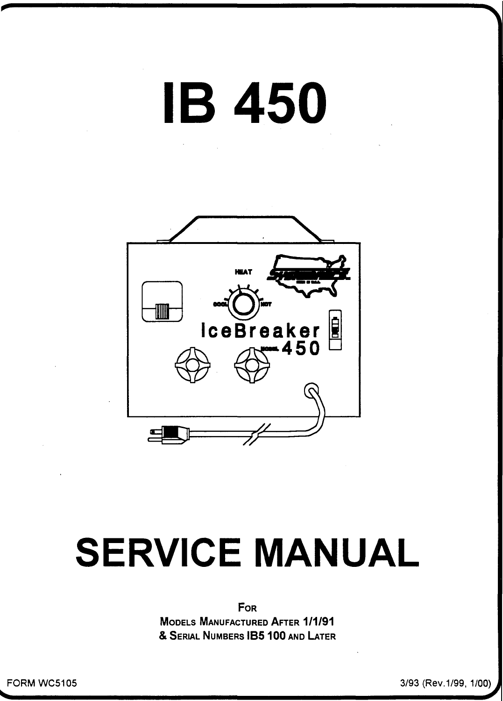# **IB 450**



## **SERVICE MANUAL**

For

**MODELS MANUFACTURED AFTER 1/1/91** & SERIAL NUMBERS IB5 100 AND LATER

FORM WC5105

3/93 (Rev.1/99, 1/00)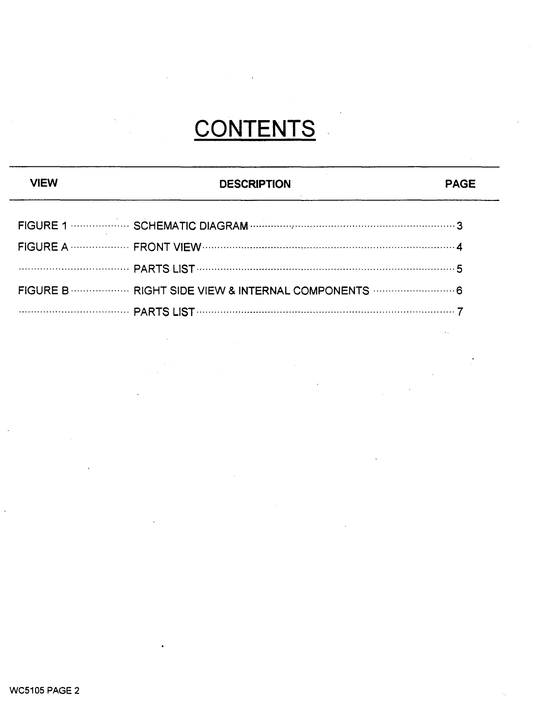## **CONTENTS**

### **DESCRIPTION**

 $\sim$ 

| FIGURE B  RIGHT SIDE VIEW & INTERNAL COMPONENTS  6 |  |
|----------------------------------------------------|--|
|                                                    |  |

**VIEW**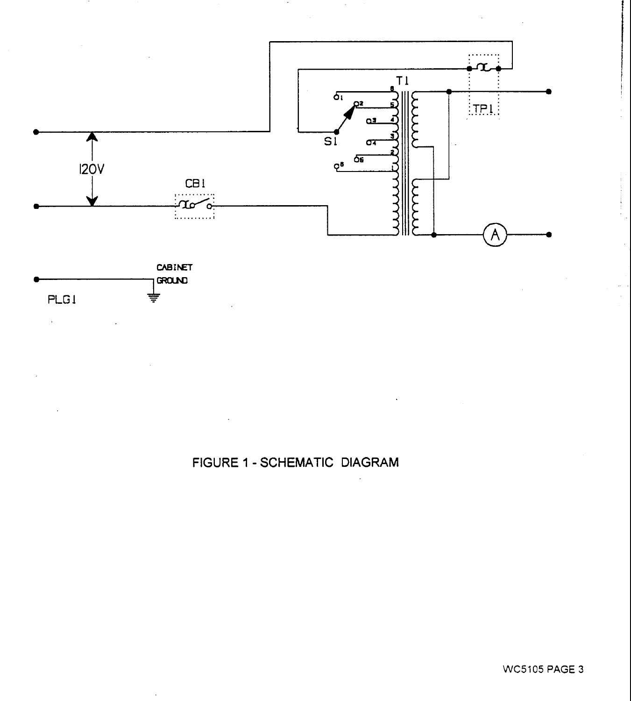



FIGURE 1 - SCHEMATIC DIAGRAM

**WC5105 PAGE 3**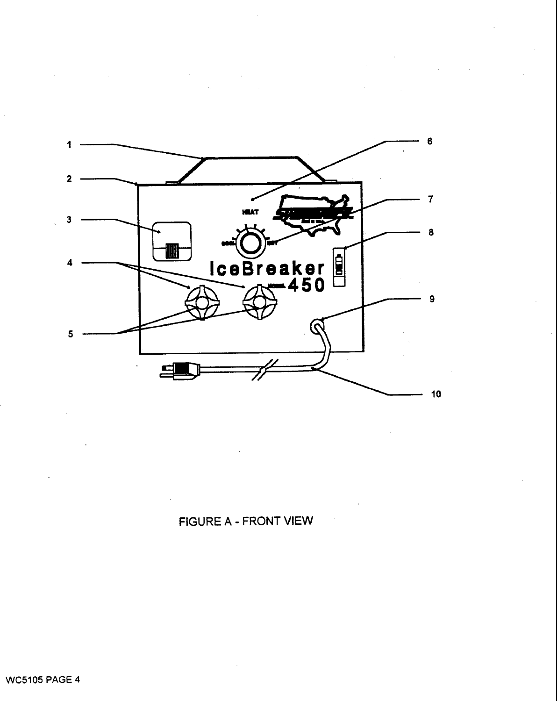

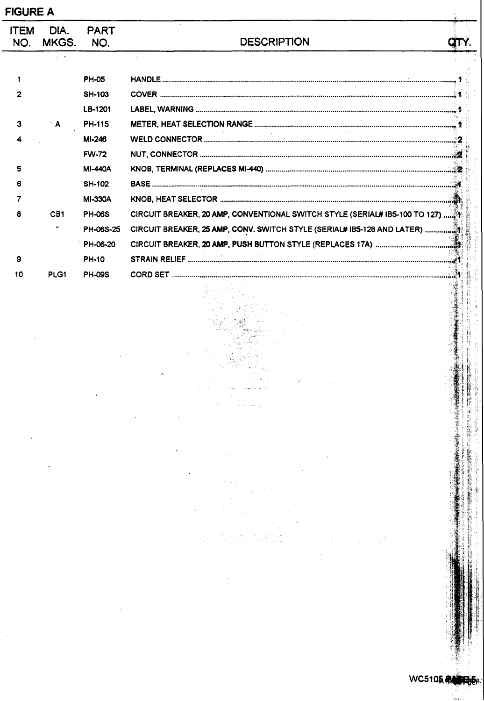| <b>ITEM</b> | DIA.      | <b>PART</b>    |                                                                             |  |
|-------------|-----------|----------------|-----------------------------------------------------------------------------|--|
| NO.         | MKGS.     | NO.            | <b>DESCRIPTION</b>                                                          |  |
|             |           |                | $\lambda$                                                                   |  |
| $\mathbf 1$ |           | <b>PH-05</b>   |                                                                             |  |
| 2           |           | <b>SH-103</b>  |                                                                             |  |
|             |           | LB-1201        |                                                                             |  |
| 3           | A         | <b>PH-115</b>  |                                                                             |  |
|             |           | MI-246         |                                                                             |  |
|             |           | <b>FW-72</b>   |                                                                             |  |
| 5           |           | <b>MI-440A</b> |                                                                             |  |
|             |           | <b>SH-102</b>  |                                                                             |  |
|             |           | <b>MI-330A</b> |                                                                             |  |
| 8           | CB1       | <b>PH-06S</b>  | CIRCUIT BREAKER, 20 AMP, CONVENTIONAL SWITCH STYLE (SERIAL# 1B5-100 TO 127) |  |
|             | $\bullet$ | PH-06S-25      | CIRCUIT BREAKER, 25 AMP, CONV. SWITCH STYLE (SERIAL# 1B5-128 AND LATER)     |  |
|             |           | PH-06-20       |                                                                             |  |
| 9           |           | <b>PH-10</b>   |                                                                             |  |
| 10          | PLG1      | <b>PH-09S</b>  |                                                                             |  |
|             |           |                |                                                                             |  |
|             |           |                |                                                                             |  |
|             |           |                |                                                                             |  |
|             |           |                |                                                                             |  |
|             |           |                |                                                                             |  |
|             |           |                |                                                                             |  |
|             |           |                |                                                                             |  |
|             |           |                |                                                                             |  |
|             |           |                |                                                                             |  |
|             |           |                |                                                                             |  |
|             |           |                | è                                                                           |  |
|             |           |                |                                                                             |  |
|             |           |                |                                                                             |  |
|             |           |                |                                                                             |  |
|             |           |                |                                                                             |  |
|             |           |                |                                                                             |  |

Ġ,

l.

医小叶的 医心包的 医心包的 医心包

「あか、あかり」の「あか」という。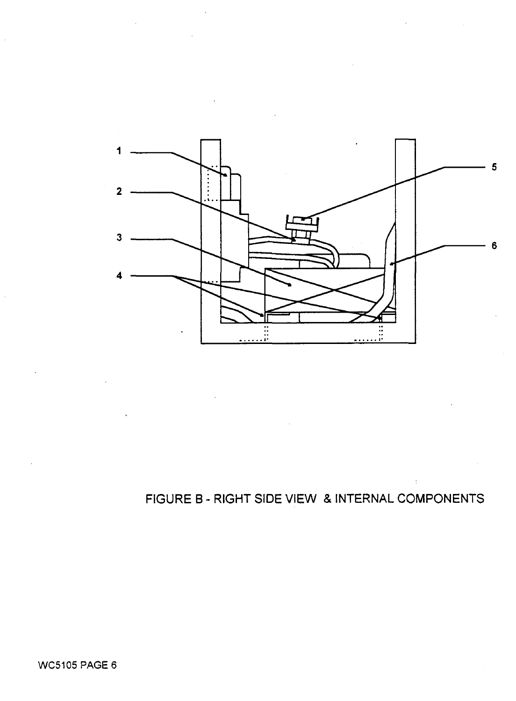

### **FIGURE B - RIGHT SIDE VIEW & INTERNAL COMPONENTS**